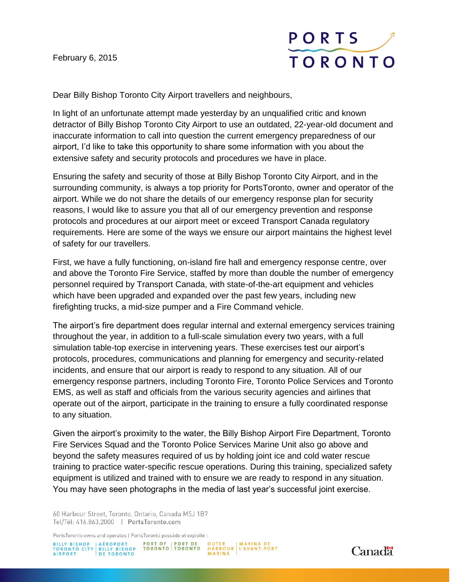February 6, 2015



Dear Billy Bishop Toronto City Airport travellers and neighbours,

In light of an unfortunate attempt made yesterday by an unqualified critic and known detractor of Billy Bishop Toronto City Airport to use an outdated, 22-year-old document and inaccurate information to call into question the current emergency preparedness of our airport, I'd like to take this opportunity to share some information with you about the extensive safety and security protocols and procedures we have in place.

Ensuring the safety and security of those at Billy Bishop Toronto City Airport, and in the surrounding community, is always a top priority for PortsToronto, owner and operator of the airport. While we do not share the details of our emergency response plan for security reasons, I would like to assure you that all of our emergency prevention and response protocols and procedures at our airport meet or exceed Transport Canada regulatory requirements. Here are some of the ways we ensure our airport maintains the highest level of safety for our travellers.

First, we have a fully functioning, on-island fire hall and emergency response centre, over and above the Toronto Fire Service, staffed by more than double the number of emergency personnel required by Transport Canada, with state-of-the-art equipment and vehicles which have been upgraded and expanded over the past few years, including new firefighting trucks, a mid-size pumper and a Fire Command vehicle.

The airport's fire department does regular internal and external emergency services training throughout the year, in addition to a full-scale simulation every two years, with a full simulation table-top exercise in intervening years. These exercises test our airport's protocols, procedures, communications and planning for emergency and security-related incidents, and ensure that our airport is ready to respond to any situation. All of our emergency response partners, including Toronto Fire, Toronto Police Services and Toronto EMS, as well as staff and officials from the various security agencies and airlines that operate out of the airport, participate in the training to ensure a fully coordinated response to any situation.

Given the airport's proximity to the water, the Billy Bishop Airport Fire Department, Toronto Fire Services Squad and the Toronto Police Services Marine Unit also go above and beyond the safety measures required of us by holding joint ice and cold water rescue training to practice water-specific rescue operations. During this training, specialized safety equipment is utilized and trained with to ensure we are ready to respond in any situation. You may have seen photographs in the media of last year's successful joint exercise.

60 Harbour Street, Toronto, Ontario, Canada M5J 1B7 Tel/Tél: 416.863.2000 | PortsToronto.com

PortsToronto owns and operates | PortsToronto possède et exploite :

BILLY BISHOP<br>TORONTO CITY | BILLY BISHOP<br>AIRPORT | DE TORONTO PORT OF | PORT DE OUTER MARINA DE<br>PTORONTO | TORONTO HARBOUR L'AVANT-PORT<br>MARINA